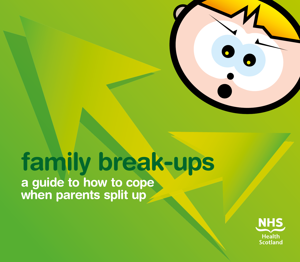# **family break-ups a guide to how to cope**

**when parents split up**

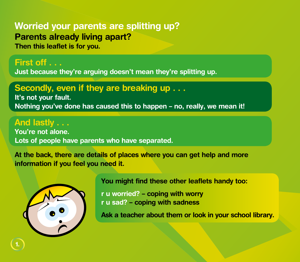# **Worried your parents are splitting up? Parents already living apart?**

**Then this leaflet is for you.**

## **First off . . . Just because they're arguing doesn't mean they're splitting up.**

# **Secondly, even if they are breaking up . . .**

**It's not your fault. Nothing you've done has caused this to happen – no, really, we mean it!**

# **And lastly . . . You're not alone.**

**Lots of people have parents who have separated.**

**At the back, there are details of places where you can get help and more information if you feel you need it.**



**You might find these other leaflets handy too:**

**r u worried? – coping with worry r u sad? – coping with sadness**

**Ask a teacher about them or look in your school library.**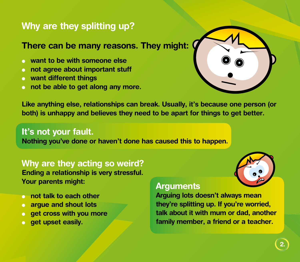# **Why are they splitting up?**

### **There can be many reasons. They might:**

- **want to be with someone else**
- <sup>l</sup> **not agree about important stuff**
- $\bullet$  want different things
- $\bullet$  not be able to get along any more.



**Like anything else, relationships can break. Usually, it's because one person (or both) is unhappy and believes they need to be apart for things to get better.**

### **It's not your fault.**

**Nothing you've done or haven't done has caused this to happen.**

**Why are they acting so weird? Ending a relationship is very stressful. Your parents might:**

- <sup>l</sup> **not talk to each other**
- **arque and shout lots**
- **e** get cross with you more
- **e** get upset easily.

#### **Arguments**

**Arguing lots doesn't always mean they're splitting up. If you're worried, talk about it with mum or dad, another family member, a friend or a teacher.**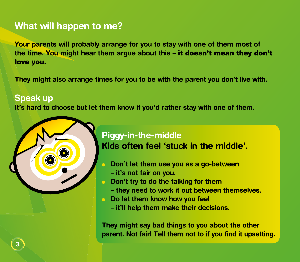# **What will happen to me?**

**Your parents will probably arrange for you to stay with one of them most of the time. You might hear them argue about this –** it doesn't mean they don't love you.

**They might also arrange times for you to be with the parent you don't live with.**

#### **Speak up**

**It's hard to choose but let them know if you'd rather stay with one of them.**



# **Piggy-in-the-middle Kids often feel 'stuck in the middle'.**

- <sup>l</sup> **Don't let them use you as a go-between**
	- **it's not fair on you.**
- <sup>l</sup> **Don't try to do the talking for them**
	- **they need to work it out between themselves.**
- **Do let them know how you feel** 
	- **it'll help them make their decisions.**

**They might say bad things to you about the other parent. Not fair! Tell them not to if you find it upsetting.**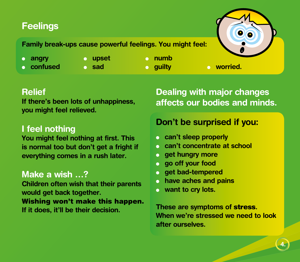# **Feelings**

**Family break-ups cause powerful feelings. You might feel:**

- 
- **angry angle in the upset leader of numb**
- **l** confused **leads and l confused and saddle and saddle and a saddle and a saddle and a saddle and a worried.** 
	-

### **Relief**

**If there's been lots of unhappiness, you might feel relieved.**

### **I feel nothing**

**You might feel nothing at first. This is normal too but don't get a fright if everything comes in a rush later.**

# **Make a wish …?**

**Children often wish that their parents would get back together.** 

Wishing won't make this happen. **If it does, it'll be their decision.**

# **Dealing with major changes affects our bodies and minds.**

# **Don't be surprised if you:**

- **c** can't sleep properly
- **can't concentrate at school**
- **e** get hungry more
- <sup>l</sup> **go off your food**
- <sup>l</sup> **get bad-tempered**
- **c** have aches and pains
- **e** want to cry lots.

**These are symptoms of** stress**. When we're stressed we need to look after ourselves.**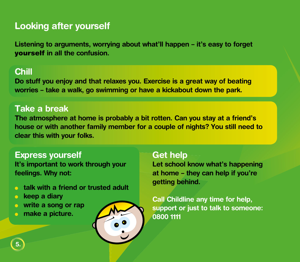# **Looking after yourself**

**Listening to arguments, worrying about what'll happen – it's easy to forget**  yourself **in all the confusion.**

#### **Chill**

**Do stuff you enjoy and that relaxes you. Exercise is a great way of beating worries – take a walk, go swimming or have a kickabout down the park.**

#### **Take a break**

**The atmosphere at home is probably a bit rotten. Can you stay at a friend's house or with another family member for a couple of nights? You still need to clear this with your folks.**

#### **Express yourself**

**It's important to work through your feelings. Why not:**

- <sup>l</sup> **talk with a friend or trusted adult**
- **lackached a diary**
- **o** write a song or rap
- <sup>l</sup> **make a picture.**



**Let school know what's happening at home – they can help if you're getting behind.**

**Call Childline any time for help, support or just to talk to someone: 0800 1111**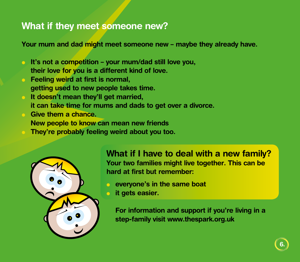# **What if they meet someone new?**

**Your mum and dad might meet someone new – maybe they already have.** 

- **It's not a competition your mum/dad still love you, their love for you is a different kind of love.**
- **lacks** Feeling weird at first is normal, **getting used to new people takes time.**
- **It doesn't mean they'll get married, it can take time for mums and dads to get over a divorce.**
- **lackson** Give them a chance.
	- **New people to know can mean new friends**
	- They're probably feeling weird about you too.



**What if I have to deal with a new family? Your two families might live together. This can be hard at first but remember:**

- **execution exame boat** everyone's in the same boat
- **it gets easier.**

**For information and support if you're living in a step-family visit www.thespark.org.uk**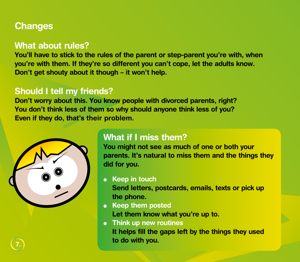# **Changes**

### **What about rules?**

**You'll have to stick to the rules of the parent or step-parent you're with, when you're with them. If they're so different you can't cope, let the adults know. Don't get shouty about it though – it won't help.**

## **Should I tell my friends?**

**Don't worry about this. You know people with divorced parents, right? You don't think less of them so why should anyone think less of you? Even if they do, that's their problem.**



**7.**

# **What if I miss them?**

**You might not see as much of one or both your parents. It's natural to miss them and the things they did for you.**

**e** Keep in touch

**Send letters, postcards, emails, texts or pick up the phone.**

- **.** Keep them posted **Let them know what you're up to.**
- **Think up new routines It helps fill the gaps left by the things they used to do with you.**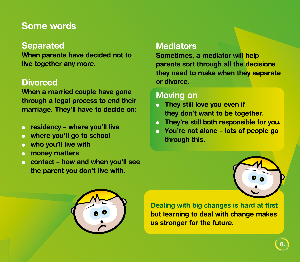# **Some words**

### **Separated**

**When parents have decided not to live together any more.**

### **Divorced**

**When a married couple have gone through a legal process to end their marriage. They'll have to decide on:**

- **e** residency where you'll live
- where you'll go to school
- $\bullet$  who you'll live with
- **c** money matters
- <sup>l</sup> **contact how and when you'll see the parent you don't live with.**

### **Mediators**

**Sometimes, a mediator will help parents sort through all the decisions they need to make when they separate or divorce.**

## **Moving on**

- **o** They still love you even if **they don't want to be together.**
- **They're still both responsible for you.**
- <sup>l</sup> **You're not alone lots of people go through this.**





**Dealing with big changes is hard at first but learning to deal with change makes us stronger for the future.**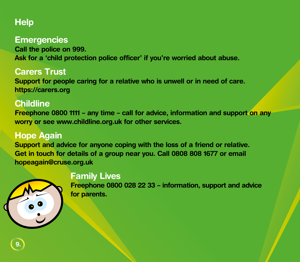# **Help**

#### **Emergencies**

**Call the police on 999. Ask for a 'child protection police officer' if you're worried about abuse.**

#### **Carers Trust**

**Support for people caring for a relative who is unwell or in need of care. https://carers.org**

# **Childline**

**Freephone 0800 1111 – any time – call for advice, information and support on any worry or see [www.childline.org.uk](http://www.childline.org.uk) for other services.**

# **Hope Again**

**Support and advice for anyone coping with the loss of a friend or relative. Get in touch for details of a group near you. Call 0808 808 1677 or email [hopeagain@cruse.org.uk](mailto:hopeagain%40cruse.org.uk?subject=)**



#### **Family Lives**

**Freephone 0800 028 22 33 – information, support and advice for parents.**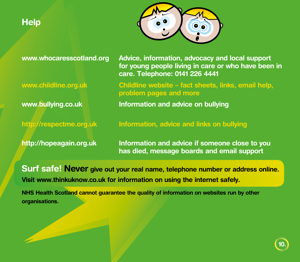# **Help**



**www.whocaresscotland.org Advice, information, advocacy and local support for young people living in care or who have been in care. Telephone: 0141 226 4441**

**www.childline.org.uk Childline website – fact sheets, links, email help, problem pages and more**

**www.bullying.co.uk Information and advice on bullying**

**http://respectme.org.uk Information, advice and links on bullying**

**http://hopeagain.org.uk Information and advice if someone close to you has died, message boards and email support**

**Surf safe! Never give out your real name, telephone number or address online. Visit www.thinkuknow.co.uk for information on using the internet safely.**

**NHS Health Scotland cannot guarantee the quality of information on websites run by other organisations.**